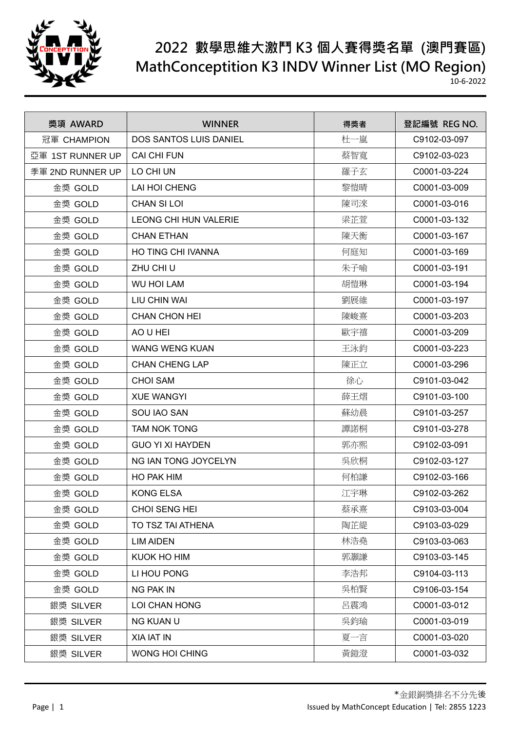

| 獎項 AWARD         | <b>WINNER</b>                | 得獎者 | 登記編號 REG NO. |
|------------------|------------------------------|-----|--------------|
| 冠軍 CHAMPION      | DOS SANTOS LUIS DANIEL       | 杜一嵐 | C9102-03-097 |
| 亞軍 1ST RUNNER UP | <b>CAI CHI FUN</b>           | 蔡智寬 | C9102-03-023 |
| 季軍 2ND RUNNER UP | LO CHI UN                    | 羅子玄 | C0001-03-224 |
| 金獎 GOLD          | LAI HOI CHENG                | 黎愷晴 | C0001-03-009 |
| 金獎 GOLD          | <b>CHAN SI LOI</b>           | 陳司淶 | C0001-03-016 |
| 金獎 GOLD          | <b>LEONG CHI HUN VALERIE</b> | 梁芷萱 | C0001-03-132 |
| 金獎 GOLD          | <b>CHAN ETHAN</b>            | 陳天衡 | C0001-03-167 |
| 金獎 GOLD          | <b>HO TING CHI IVANNA</b>    | 何庭知 | C0001-03-169 |
| 金獎 GOLD          | ZHU CHI U                    | 朱子喻 | C0001-03-191 |
| 金獎 GOLD          | <b>WU HOI LAM</b>            | 胡愷琳 | C0001-03-194 |
| 金獎 GOLD          | LIU CHIN WAI                 | 劉展維 | C0001-03-197 |
| 金獎 GOLD          | <b>CHAN CHON HEI</b>         | 陳峻熹 | C0001-03-203 |
| 金獎 GOLD          | AO U HEI                     | 歐宇禧 | C0001-03-209 |
| 金獎 GOLD          | <b>WANG WENG KUAN</b>        | 王泳鈞 | C0001-03-223 |
| 金獎 GOLD          | <b>CHAN CHENG LAP</b>        | 陳正立 | C0001-03-296 |
| 金獎 GOLD          | <b>CHOI SAM</b>              | 徐心  | C9101-03-042 |
| 金獎 GOLD          | <b>XUE WANGYI</b>            | 薛王熠 | C9101-03-100 |
| 金獎 GOLD          | SOU IAO SAN                  | 蘇幼晨 | C9101-03-257 |
| 金獎 GOLD          | <b>TAM NOK TONG</b>          | 譚諾桐 | C9101-03-278 |
| 金獎 GOLD          | <b>GUO YI XI HAYDEN</b>      | 郭亦熙 | C9102-03-091 |
| 金獎 GOLD          | NG IAN TONG JOYCELYN         | 吳欣桐 | C9102-03-127 |
| 金獎 GOLD          | HO PAK HIM                   | 何柏謙 | C9102-03-166 |
| 金獎 GOLD          | <b>KONG ELSA</b>             | 江宇琳 | C9102-03-262 |
| 金獎 GOLD          | CHOI SENG HEI                | 蔡承熹 | C9103-03-004 |
| 金獎 GOLD          | TO TSZ TAI ATHENA            | 陶芷緹 | C9103-03-029 |
| 金獎 GOLD          | <b>LIM AIDEN</b>             | 林浩堯 | C9103-03-063 |
| 金獎 GOLD          | KUOK HO HIM                  | 郭灝謙 | C9103-03-145 |
| 金獎 GOLD          | LI HOU PONG                  | 李浩邦 | C9104-03-113 |
| 金獎 GOLD          | NG PAK IN                    | 吳柏賢 | C9106-03-154 |
| 銀獎 SILVER        | LOI CHAN HONG                | 呂震鴻 | C0001-03-012 |
| 銀獎 SILVER        | <b>NG KUAN U</b>             | 吳鈞瑜 | C0001-03-019 |
| 銀獎 SILVER        | XIA IAT IN                   | 夏一言 | C0001-03-020 |
| 銀獎 SILVER        | WONG HOI CHING               | 黃鎧澄 | C0001-03-032 |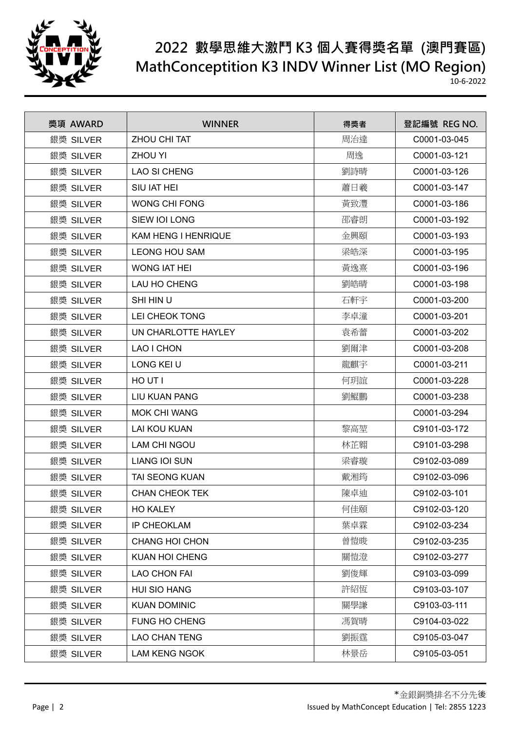

| 獎項 AWARD  | <b>WINNER</b>         | 得獎者 | 登記編號 REG NO. |
|-----------|-----------------------|-----|--------------|
| 銀獎 SILVER | ZHOU CHI TAT          | 周治達 | C0001-03-045 |
| 銀獎 SILVER | <b>ZHOU YI</b>        | 周逸  | C0001-03-121 |
| 銀獎 SILVER | <b>LAO SI CHENG</b>   | 劉詩晴 | C0001-03-126 |
| 銀獎 SILVER | SIU IAT HEI           | 蕭日羲 | C0001-03-147 |
| 銀獎 SILVER | <b>WONG CHI FONG</b>  | 黃致灃 | C0001-03-186 |
| 銀獎 SILVER | SIEW IOI LONG         | 邵睿朗 | C0001-03-192 |
| 銀獎 SILVER | KAM HENG I HENRIQUE   | 金興頤 | C0001-03-193 |
| 銀獎 SILVER | <b>LEONG HOU SAM</b>  | 梁皓深 | C0001-03-195 |
| 銀獎 SILVER | <b>WONG IAT HEI</b>   | 黃逸熹 | C0001-03-196 |
| 銀獎 SILVER | LAU HO CHENG          | 劉皓晴 | C0001-03-198 |
| 銀獎 SILVER | SHI HIN U             | 石軒宇 | C0001-03-200 |
| 銀獎 SILVER | LEI CHEOK TONG        | 李卓潼 | C0001-03-201 |
| 銀獎 SILVER | UN CHARLOTTE HAYLEY   | 袁希蕾 | C0001-03-202 |
| 銀獎 SILVER | LAO I CHON            | 劉爾津 | C0001-03-208 |
| 銀獎 SILVER | LONG KEI U            | 龍麒宇 | C0001-03-211 |
| 銀獎 SILVER | HO UT I               | 何玥誼 | C0001-03-228 |
| 銀獎 SILVER | <b>LIU KUAN PANG</b>  | 劉鯤鵬 | C0001-03-238 |
| 銀獎 SILVER | <b>MOK CHI WANG</b>   |     | C0001-03-294 |
| 銀獎 SILVER | <b>LAI KOU KUAN</b>   | 黎高堃 | C9101-03-172 |
| 銀獎 SILVER | LAM CHI NGOU          | 林芷翱 | C9101-03-298 |
| 銀獎 SILVER | <b>LIANG IOI SUN</b>  | 梁睿璇 | C9102-03-089 |
| 銀獎 SILVER | <b>TAI SEONG KUAN</b> | 戴湘筠 | C9102-03-096 |
| 銀獎 SILVER | <b>CHAN CHEOK TEK</b> | 陳卓迪 | C9102-03-101 |
| 銀獎 SILVER | <b>HO KALEY</b>       | 何佳頤 | C9102-03-120 |
| 銀獎 SILVER | <b>IP CHEOKLAM</b>    | 葉卓霖 | C9102-03-234 |
| 銀獎 SILVER | <b>CHANG HOI CHON</b> | 曾愷晙 | C9102-03-235 |
| 銀獎 SILVER | KUAN HOI CHENG        | 關愷澄 | C9102-03-277 |
| 銀獎 SILVER | <b>LAO CHON FAI</b>   | 劉俊輝 | C9103-03-099 |
| 銀獎 SILVER | <b>HUI SIO HANG</b>   | 許紹恆 | C9103-03-107 |
| 銀獎 SILVER | <b>KUAN DOMINIC</b>   | 關學謙 | C9103-03-111 |
| 銀獎 SILVER | <b>FUNG HO CHENG</b>  | 馮賀晴 | C9104-03-022 |
| 銀獎 SILVER | <b>LAO CHAN TENG</b>  | 劉振霆 | C9105-03-047 |
| 銀獎 SILVER | <b>LAM KENG NGOK</b>  | 林景岳 | C9105-03-051 |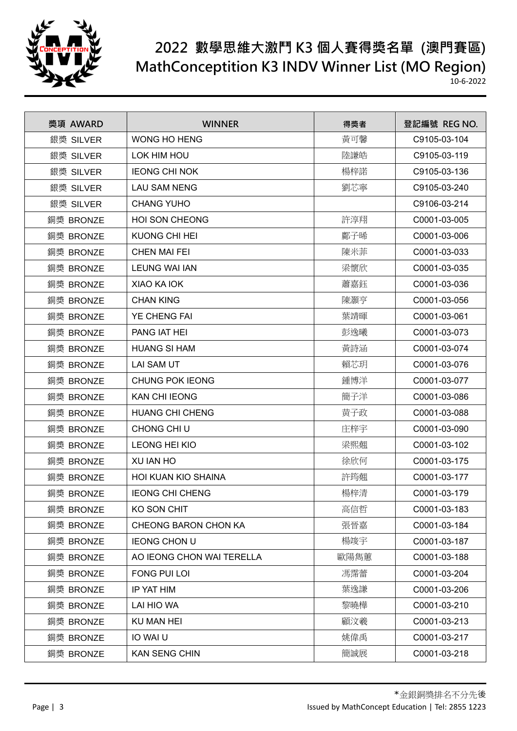

| 獎項 AWARD  | <b>WINNER</b>              | 得獎者  | 登記編號 REG NO. |
|-----------|----------------------------|------|--------------|
| 銀獎 SILVER | <b>WONG HO HENG</b>        | 黃可馨  | C9105-03-104 |
| 銀獎 SILVER | LOK HIM HOU                | 陸謙皓  | C9105-03-119 |
| 銀獎 SILVER | <b>IEONG CHI NOK</b>       | 楊梓諾  | C9105-03-136 |
| 銀獎 SILVER | <b>LAU SAM NENG</b>        | 劉芯寧  | C9105-03-240 |
| 銀獎 SILVER | <b>CHANG YUHO</b>          |      | C9106-03-214 |
| 銅獎 BRONZE | <b>HOI SON CHEONG</b>      | 許淳翔  | C0001-03-005 |
| 銅獎 BRONZE | <b>KUONG CHI HEI</b>       | 鄺子晞  | C0001-03-006 |
| 銅獎 BRONZE | <b>CHEN MAI FEI</b>        | 陳米菲  | C0001-03-033 |
| 銅獎 BRONZE | <b>LEUNG WAI IAN</b>       | 梁懷欣  | C0001-03-035 |
| 銅獎 BRONZE | XIAO KA IOK                | 蕭嘉鈺  | C0001-03-036 |
| 銅獎 BRONZE | <b>CHAN KING</b>           | 陳灝亨  | C0001-03-056 |
| 銅獎 BRONZE | YE CHENG FAI               | 葉靖暉  | C0001-03-061 |
| 銅獎 BRONZE | <b>PANG IAT HEI</b>        | 彭逸曦  | C0001-03-073 |
| 銅獎 BRONZE | <b>HUANG SI HAM</b>        | 黃詩涵  | C0001-03-074 |
| 銅獎 BRONZE | <b>LAI SAM UT</b>          | 賴芯玥  | C0001-03-076 |
| 銅獎 BRONZE | <b>CHUNG POK IEONG</b>     | 鍾博洋  | C0001-03-077 |
| 銅獎 BRONZE | <b>KAN CHI IEONG</b>       | 簡子洋  | C0001-03-086 |
| 銅獎 BRONZE | <b>HUANG CHI CHENG</b>     | 黄子政  | C0001-03-088 |
| 銅獎 BRONZE | CHONG CHI U                | 庄梓宇  | C0001-03-090 |
| 銅獎 BRONZE | <b>LEONG HEI KIO</b>       | 梁熙翹  | C0001-03-102 |
| 銅獎 BRONZE | XU IAN HO                  | 徐欣何  | C0001-03-175 |
| 銅獎 BRONZE | <b>HOI KUAN KIO SHAINA</b> | 許筠翹  | C0001-03-177 |
| 銅獎 BRONZE | <b>IEONG CHI CHENG</b>     | 楊梓清  | C0001-03-179 |
| 銅獎 BRONZE | KO SON CHIT                | 高信哲  | C0001-03-183 |
| 銅獎 BRONZE | CHEONG BARON CHON KA       | 張晉嘉  | C0001-03-184 |
| 銅獎 BRONZE | <b>IEONG CHON U</b>        | 楊竣宇  | C0001-03-187 |
| 銅獎 BRONZE | AO IEONG CHON WAI TERELLA  | 歐陽雋蕙 | C0001-03-188 |
| 銅獎 BRONZE | FONG PUI LOI               | 馮霈蕾  | C0001-03-204 |
| 銅獎 BRONZE | IP YAT HIM                 | 葉逸謙  | C0001-03-206 |
| 銅獎 BRONZE | LAI HIO WA                 | 黎曉樺  | C0001-03-210 |
| 銅獎 BRONZE | <b>KU MAN HEI</b>          | 顧汶羲  | C0001-03-213 |
| 銅獎 BRONZE | IO WAI U                   | 姚偉禹  | C0001-03-217 |
| 銅獎 BRONZE | <b>KAN SENG CHIN</b>       | 簡誠展  | C0001-03-218 |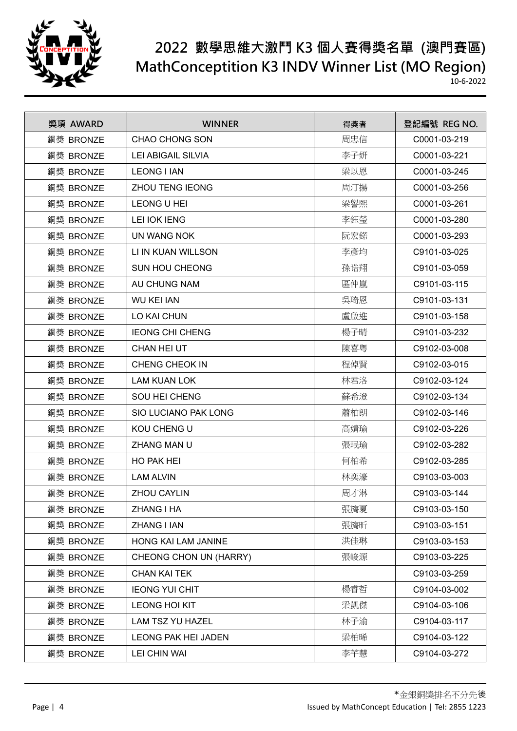

| 獎項 AWARD  | <b>WINNER</b>               | 得獎者 | 登記編號 REG NO. |
|-----------|-----------------------------|-----|--------------|
| 銅獎 BRONZE | <b>CHAO CHONG SON</b>       | 周忠信 | C0001-03-219 |
| 銅獎 BRONZE | <b>LEI ABIGAIL SILVIA</b>   | 李子妍 | C0001-03-221 |
| 銅獎 BRONZE | <b>LEONG I IAN</b>          | 梁以恩 | C0001-03-245 |
| 銅獎 BRONZE | <b>ZHOU TENG IEONG</b>      | 周汀揚 | C0001-03-256 |
| 銅獎 BRONZE | LEONG U HEI                 | 梁譽熙 | C0001-03-261 |
| 銅獎 BRONZE | <b>LEI IOK IENG</b>         | 李鈺瑩 | C0001-03-280 |
| 銅獎 BRONZE | UN WANG NOK                 | 阮宏鍩 | C0001-03-293 |
| 銅獎 BRONZE | LI IN KUAN WILLSON          | 李彥均 | C9101-03-025 |
| 銅獎 BRONZE | <b>SUN HOU CHEONG</b>       | 孫诰翔 | C9101-03-059 |
| 銅獎 BRONZE | AU CHUNG NAM                | 區仲嵐 | C9101-03-115 |
| 銅獎 BRONZE | <b>WU KEI IAN</b>           | 吳琦恩 | C9101-03-131 |
| 銅獎 BRONZE | LO KAI CHUN                 | 盧啟進 | C9101-03-158 |
| 銅獎 BRONZE | <b>IEONG CHI CHENG</b>      | 楊子晴 | C9101-03-232 |
| 銅獎 BRONZE | CHAN HEI UT                 | 陳喜粵 | C9102-03-008 |
| 銅獎 BRONZE | <b>CHENG CHEOK IN</b>       | 程倬賢 | C9102-03-015 |
| 銅獎 BRONZE | <b>LAM KUAN LOK</b>         | 林君洛 | C9102-03-124 |
| 銅獎 BRONZE | <b>SOU HEI CHENG</b>        | 蘇希澄 | C9102-03-134 |
| 銅獎 BRONZE | <b>SIO LUCIANO PAK LONG</b> | 蕭柏朗 | C9102-03-146 |
| 銅獎 BRONZE | KOU CHENG U                 | 高婧瑜 | C9102-03-226 |
| 銅獎 BRONZE | <b>ZHANG MAN U</b>          | 張珉瑜 | C9102-03-282 |
| 銅獎 BRONZE | HO PAK HEI                  | 何柏希 | C9102-03-285 |
| 銅獎 BRONZE | <b>LAM ALVIN</b>            | 林奕濠 | C9103-03-003 |
| 銅獎 BRONZE | <b>ZHOU CAYLIN</b>          | 周才淋 | C9103-03-144 |
| 銅獎 BRONZE | ZHANG I HA                  | 張旖夏 | C9103-03-150 |
| 銅獎 BRONZE | ZHANG I IAN                 | 張旖昕 | C9103-03-151 |
| 銅獎 BRONZE | HONG KAI LAM JANINE         | 洪佳琳 | C9103-03-153 |
| 銅獎 BRONZE | CHEONG CHON UN (HARRY)      | 張峻源 | C9103-03-225 |
| 銅獎 BRONZE | <b>CHAN KAI TEK</b>         |     | C9103-03-259 |
| 銅獎 BRONZE | <b>IEONG YUI CHIT</b>       | 楊睿哲 | C9104-03-002 |
| 銅獎 BRONZE | LEONG HOI KIT               | 梁凱傑 | C9104-03-106 |
| 銅獎 BRONZE | LAM TSZ YU HAZEL            | 林子渝 | C9104-03-117 |
| 銅獎 BRONZE | <b>LEONG PAK HEI JADEN</b>  | 梁柏晞 | C9104-03-122 |
| 銅獎 BRONZE | LEI CHIN WAI                | 李芊慧 | C9104-03-272 |